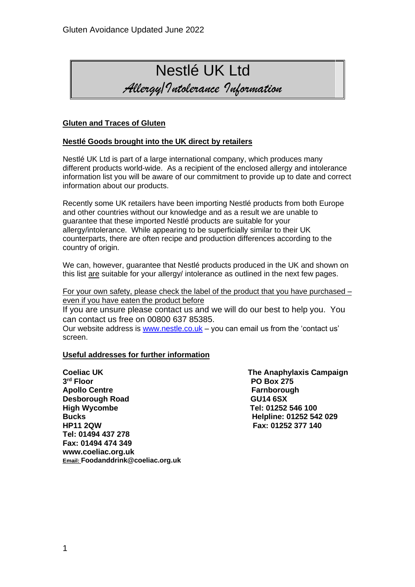# Nestlé UK Ltd *Allergy/Intolerance Information*

#### **Gluten and Traces of Gluten**

#### **Nestlé Goods brought into the UK direct by retailers**

Nestlé UK Ltd is part of a large international company, which produces many different products world-wide. As a recipient of the enclosed allergy and intolerance information list you will be aware of our commitment to provide up to date and correct information about our products.

Recently some UK retailers have been importing Nestlé products from both Europe and other countries without our knowledge and as a result we are unable to guarantee that these imported Nestlé products are suitable for your allergy/intolerance. While appearing to be superficially similar to their UK counterparts, there are often recipe and production differences according to the country of origin.

We can, however, quarantee that Nestlé products produced in the UK and shown on this list are suitable for your allergy/ intolerance as outlined in the next few pages.

For your own safety, please check the label of the product that you have purchased – even if you have eaten the product before

If you are unsure please contact us and we will do our best to help you. You can contact us free on 00800 637 85385.

Our website address is [www.nestle.co.uk](http://www.nestle.co.uk/) – you can email us from the 'contact us' screen.

#### **Useful addresses for further information**

**Coeliac UK Coeliac UK** The Anaphylaxis Campaign 3<sup>rd</sup> Floor Apollo Centre **Farnborough Desborough Road GU14 6SX High Wycombe Tel: 01252 546 100 Bucks Helpline: 01252 542 029 Tel: 01494 437 278 Fax: 01494 474 349 www.coeliac.org.uk Email: Foodanddrink@coeliac.org.uk**

**PO Box 275 HP11 2QW Fax: 01252 377 140**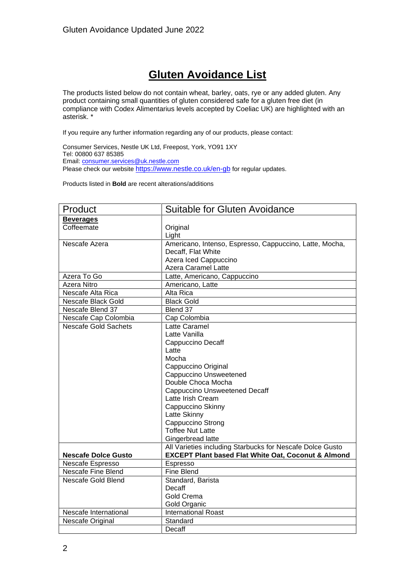## **Gluten Avoidance List**

The products listed below do not contain wheat, barley, oats, rye or any added gluten. Any product containing small quantities of gluten considered safe for a gluten free diet (in compliance with Codex Alimentarius levels accepted by Coeliac UK) are highlighted with an asterisk. \*

If you require any further information regarding any of our products, please contact:

Consumer Services, Nestle UK Ltd, Freepost, York, YO91 1XY Tel: 00800 637 85385 Email[: consumer.services@uk.nestle.com](mailto:consumer.services@uk.nestle.com) Please check our website <https://www.nestle.co.uk/en-gb> for regular updates.

Products listed in **Bold** are recent alterations/additions

| Product                     | Suitable for Gluten Avoidance                                  |
|-----------------------------|----------------------------------------------------------------|
| <b>Beverages</b>            |                                                                |
| Coffeemate                  | Original                                                       |
|                             | Light                                                          |
| Nescafe Azera               | Americano, Intenso, Espresso, Cappuccino, Latte, Mocha,        |
|                             | Decaff, Flat White                                             |
|                             | Azera Iced Cappuccino                                          |
|                             | Azera Caramel Latte                                            |
| Azera To Go                 | Latte, Americano, Cappuccino                                   |
| Azera Nitro                 | Americano, Latte                                               |
| Nescafe Alta Rica           | Alta Rica                                                      |
| Nescafe Black Gold          | <b>Black Gold</b>                                              |
| Nescafe Blend 37            | Blend 37                                                       |
| Nescafe Cap Colombia        | Cap Colombia                                                   |
| <b>Nescafe Gold Sachets</b> | Latte Caramel                                                  |
|                             | Latte Vanilla                                                  |
|                             | Cappuccino Decaff                                              |
|                             | Latte                                                          |
|                             | Mocha                                                          |
|                             | Cappuccino Original                                            |
|                             | Cappuccino Unsweetened                                         |
|                             | Double Choca Mocha                                             |
|                             | <b>Cappuccino Unsweetened Decaff</b>                           |
|                             | Latte Irish Cream                                              |
|                             | Cappuccino Skinny                                              |
|                             | Latte Skinny                                                   |
|                             | Cappuccino Strong                                              |
|                             | <b>Toffee Nut Latte</b>                                        |
|                             | Gingerbread latte                                              |
|                             | All Varieties including Starbucks for Nescafe Dolce Gusto      |
| <b>Nescafe Dolce Gusto</b>  | <b>EXCEPT Plant based Flat White Oat, Coconut &amp; Almond</b> |
| Nescafe Espresso            | Espresso                                                       |
| <b>Nescafe Fine Blend</b>   | <b>Fine Blend</b>                                              |
| Nescafe Gold Blend          | Standard, Barista                                              |
|                             | Decaff                                                         |
|                             | Gold Crema                                                     |
|                             | Gold Organic                                                   |
| Nescafe International       | <b>International Roast</b>                                     |
| Nescafe Original            | Standard                                                       |
|                             | Decaff                                                         |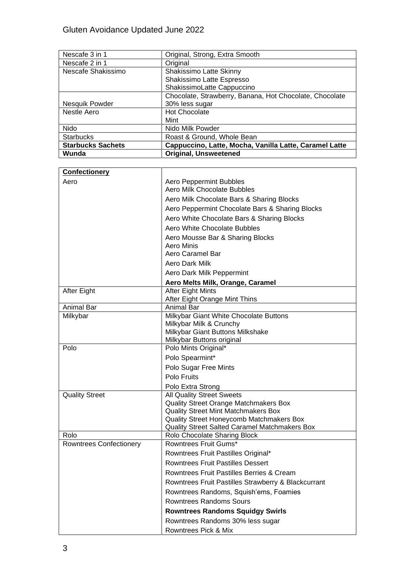| Nescafe 3 in 1           | Original, Strong, Extra Smooth                          |
|--------------------------|---------------------------------------------------------|
| Nescafe 2 in 1           | Original                                                |
| Nescafe Shakissimo       | Shakissimo Latte Skinny                                 |
|                          | Shakissimo Latte Espresso                               |
|                          | ShakissimoLatte Cappuccino                              |
|                          | Chocolate, Strawberry, Banana, Hot Chocolate, Chocolate |
| Nesquik Powder           | 30% less sugar                                          |
| Nestle Aero              | <b>Hot Chocolate</b>                                    |
|                          | Mint                                                    |
| Nido                     | Nido Milk Powder                                        |
| <b>Starbucks</b>         | Roast & Ground, Whole Bean                              |
| <b>Starbucks Sachets</b> | Cappuccino, Latte, Mocha, Vanilla Latte, Caramel Latte  |
| Wunda                    | <b>Original, Unsweetened</b>                            |

| <b>Confectionery</b>           |                                                                                           |
|--------------------------------|-------------------------------------------------------------------------------------------|
| Aero                           | Aero Peppermint Bubbles                                                                   |
|                                | Aero Milk Chocolate Bubbles                                                               |
|                                | Aero Milk Chocolate Bars & Sharing Blocks                                                 |
|                                | Aero Peppermint Chocolate Bars & Sharing Blocks                                           |
|                                | Aero White Chocolate Bars & Sharing Blocks                                                |
|                                | Aero White Chocolate Bubbles                                                              |
|                                | Aero Mousse Bar & Sharing Blocks                                                          |
|                                | Aero Minis                                                                                |
|                                | Aero Caramel Bar                                                                          |
|                                | Aero Dark Milk                                                                            |
|                                | Aero Dark Milk Peppermint                                                                 |
|                                | Aero Melts Milk, Orange, Caramel                                                          |
| After Eight                    | <b>After Eight Mints</b>                                                                  |
|                                | After Eight Orange Mint Thins                                                             |
| <b>Animal Bar</b>              | <b>Animal Bar</b>                                                                         |
| Milkybar                       | Milkybar Giant White Chocolate Buttons<br>Milkybar Milk & Crunchy                         |
|                                | Milkybar Giant Buttons Milkshake                                                          |
|                                | Milkybar Buttons original                                                                 |
| Polo                           | Polo Mints Original*                                                                      |
|                                | Polo Spearmint*                                                                           |
|                                | Polo Sugar Free Mints                                                                     |
|                                | Polo Fruits                                                                               |
|                                | Polo Extra Strong                                                                         |
| <b>Quality Street</b>          | <b>All Quality Street Sweets</b>                                                          |
|                                | <b>Quality Street Orange Matchmakers Box</b>                                              |
|                                | <b>Quality Street Mint Matchmakers Box</b>                                                |
|                                | Quality Street Honeycomb Matchmakers Box<br>Quality Street Salted Caramel Matchmakers Box |
| Rolo                           | Rolo Chocolate Sharing Block                                                              |
| <b>Rowntrees Confectionery</b> | Rowntrees Fruit Gums*                                                                     |
|                                | Rowntrees Fruit Pastilles Original*                                                       |
|                                | <b>Rowntrees Fruit Pastilles Dessert</b>                                                  |
|                                | <b>Rowntrees Fruit Pastilles Berries &amp; Cream</b>                                      |
|                                | Rowntrees Fruit Pastilles Strawberry & Blackcurrant                                       |
|                                | Rowntrees Randoms, Squish'ems, Foamies                                                    |
|                                | <b>Rowntrees Randoms Sours</b>                                                            |
|                                | <b>Rowntrees Randoms Squidgy Swirls</b>                                                   |
|                                | Rowntrees Randoms 30% less sugar                                                          |
|                                | Rowntrees Pick & Mix                                                                      |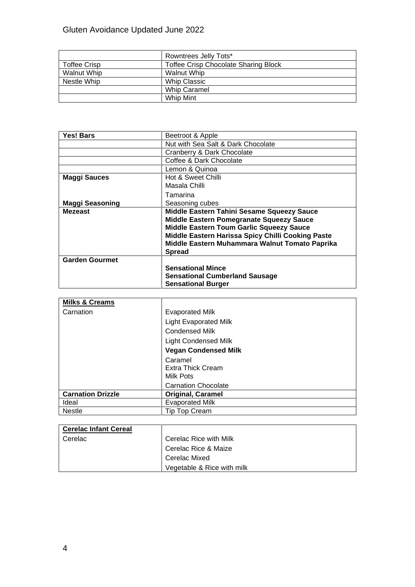### Gluten Avoidance Updated June 2022

|                     | Rowntrees Jelly Tots*                       |
|---------------------|---------------------------------------------|
| <b>Toffee Crisp</b> | <b>Toffee Crisp Chocolate Sharing Block</b> |
| Walnut Whip         | <b>Walnut Whip</b>                          |
| Nestle Whip         | <b>Whip Classic</b>                         |
|                     | <b>Whip Caramel</b>                         |
|                     | Whip Mint                                   |

| Yes! Bars              | Beetroot & Apple                                  |
|------------------------|---------------------------------------------------|
|                        | Nut with Sea Salt & Dark Chocolate                |
|                        | Cranberry & Dark Chocolate                        |
|                        | Coffee & Dark Chocolate                           |
|                        | Lemon & Quinoa                                    |
| <b>Maggi Sauces</b>    | Hot & Sweet Chilli                                |
|                        | Masala Chilli                                     |
|                        | Tamarina                                          |
| <b>Maggi Seasoning</b> | Seasoning cubes                                   |
| <b>Mezeast</b>         | Middle Eastern Tahini Sesame Squeezy Sauce        |
|                        | Middle Eastern Pomegranate Squeezy Sauce          |
|                        | Middle Eastern Toum Garlic Squeezy Sauce          |
|                        | Middle Eastern Harissa Spicy Chilli Cooking Paste |
|                        | Middle Eastern Muhammara Walnut Tomato Paprika    |
|                        | <b>Spread</b>                                     |
| <b>Garden Gourmet</b>  |                                                   |
|                        | <b>Sensational Mince</b>                          |
|                        | <b>Sensational Cumberland Sausage</b>             |
|                        | <b>Sensational Burger</b>                         |

| <b>Milks &amp; Creams</b> |                              |
|---------------------------|------------------------------|
| Carnation                 | <b>Evaporated Milk</b>       |
|                           | <b>Light Evaporated Milk</b> |
|                           | <b>Condensed Milk</b>        |
|                           | <b>Light Condensed Milk</b>  |
|                           | <b>Vegan Condensed Milk</b>  |
|                           | Caramel                      |
|                           | Extra Thick Cream            |
|                           | Milk Pots                    |
|                           | <b>Carnation Chocolate</b>   |
| <b>Carnation Drizzle</b>  | <b>Original, Caramel</b>     |
| Ideal                     | <b>Evaporated Milk</b>       |
| <b>Nestle</b>             | <b>Tip Top Cream</b>         |

| <b>Cerelac Infant Cereal</b> |                            |
|------------------------------|----------------------------|
| l Cerelac                    | Cerelac Rice with Milk     |
|                              | Cerelac Rice & Maize       |
|                              | Cerelac Mixed              |
|                              | Vegetable & Rice with milk |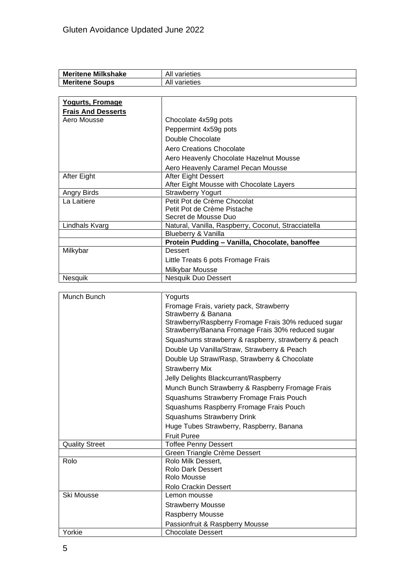| <b>Meritene Milkshake</b> | All varieties                                       |
|---------------------------|-----------------------------------------------------|
| <b>Meritene Soups</b>     | All varieties                                       |
|                           |                                                     |
| <b>Yogurts, Fromage</b>   |                                                     |
| <b>Frais And Desserts</b> |                                                     |
| Aero Mousse               | Chocolate 4x59g pots                                |
|                           | Peppermint 4x59g pots                               |
|                           | Double Chocolate                                    |
|                           | <b>Aero Creations Chocolate</b>                     |
|                           | Aero Heavenly Chocolate Hazelnut Mousse             |
|                           | Aero Heavenly Caramel Pecan Mousse                  |
| After Eight               | After Eight Dessert                                 |
|                           | After Eight Mousse with Chocolate Layers            |
| Angry Birds               | <b>Strawberry Yogurt</b>                            |
| La Laitiere               | Petit Pot de Crème Chocolat                         |
|                           | Petit Pot de Crème Pistache                         |
|                           | Secret de Mousse Duo                                |
| Lindhals Kvarg            | Natural, Vanilla, Raspberry, Coconut, Stracciatella |
|                           | Blueberry & Vanilla                                 |
|                           | Protein Pudding - Vanilla, Chocolate, banoffee      |
| Milkybar                  | <b>Dessert</b>                                      |
|                           | Little Treats 6 pots Fromage Frais                  |
|                           | Milkybar Mousse                                     |
| Nesquik                   | Nesquik Duo Dessert                                 |

| Munch Bunch           | Yogurts                                              |
|-----------------------|------------------------------------------------------|
|                       | Fromage Frais, variety pack, Strawberry              |
|                       | Strawberry & Banana                                  |
|                       | Strawberry/Raspberry Fromage Frais 30% reduced sugar |
|                       | Strawberry/Banana Fromage Frais 30% reduced sugar    |
|                       | Squashums strawberry & raspberry, strawberry & peach |
|                       | Double Up Vanilla/Straw, Strawberry & Peach          |
|                       | Double Up Straw/Rasp, Strawberry & Chocolate         |
|                       | <b>Strawberry Mix</b>                                |
|                       | Jelly Delights Blackcurrant/Raspberry                |
|                       | Munch Bunch Strawberry & Raspberry Fromage Frais     |
|                       | Squashums Strawberry Fromage Frais Pouch             |
|                       | Squashums Raspberry Fromage Frais Pouch              |
|                       | Squashums Strawberry Drink                           |
|                       | Huge Tubes Strawberry, Raspberry, Banana             |
|                       | <b>Fruit Puree</b>                                   |
| <b>Quality Street</b> | <b>Toffee Penny Dessert</b>                          |
|                       | Green Triangle Crème Dessert                         |
| Rolo                  | Rolo Milk Dessert,                                   |
|                       | Rolo Dark Dessert                                    |
|                       | Rolo Mousse                                          |
|                       | <b>Rolo Crackin Dessert</b>                          |
| Ski Mousse            | Lemon mousse                                         |
|                       | <b>Strawberry Mousse</b>                             |
|                       | Raspberry Mousse                                     |
|                       | Passionfruit & Raspberry Mousse                      |
| Yorkie                | <b>Chocolate Dessert</b>                             |